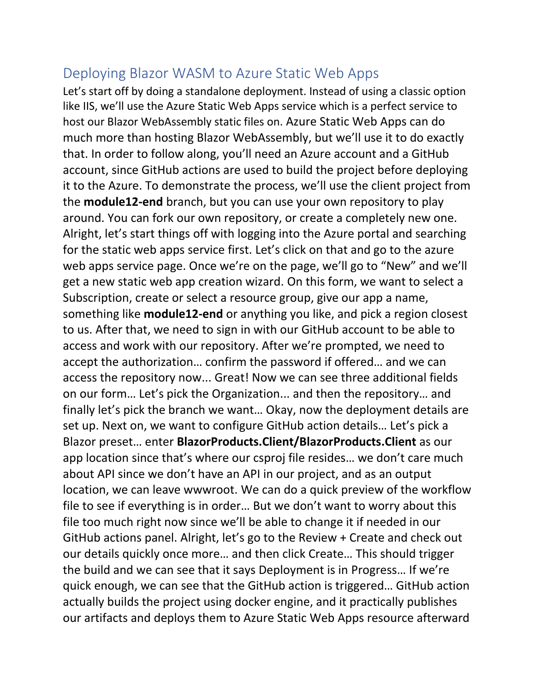## Deploying Blazor WASM to Azure Static Web Apps

Let's start off by doing a standalone deployment. Instead of using a classic option like IIS, we'll use the Azure Static Web Apps service which is a perfect service to host our Blazor WebAssembly static files on. Azure Static Web Apps can do much more than hosting Blazor WebAssembly, but we'll use it to do exactly that. In order to follow along, you'll need an Azure account and a GitHub account, since GitHub actions are used to build the project before deploying it to the Azure. To demonstrate the process, we'll use the client project from the **module12-end** branch, but you can use your own repository to play around. You can fork our own repository, or create a completely new one. Alright, let's start things off with logging into the Azure portal and searching for the static web apps service first. Let's click on that and go to the azure web apps service page. Once we're on the page, we'll go to "New" and we'll get a new static web app creation wizard. On this form, we want to select a Subscription, create or select a resource group, give our app a name, something like **module12-end** or anything you like, and pick a region closest to us. After that, we need to sign in with our GitHub account to be able to access and work with our repository. After we're prompted, we need to accept the authorization… confirm the password if offered… and we can access the repository now... Great! Now we can see three additional fields on our form… Let's pick the Organization... and then the repository… and finally let's pick the branch we want… Okay, now the deployment details are set up. Next on, we want to configure GitHub action details… Let's pick a Blazor preset… enter **BlazorProducts.Client/BlazorProducts.Client** as our app location since that's where our csproj file resides… we don't care much about API since we don't have an API in our project, and as an output location, we can leave wwwroot. We can do a quick preview of the workflow file to see if everything is in order… But we don't want to worry about this file too much right now since we'll be able to change it if needed in our GitHub actions panel. Alright, let's go to the Review + Create and check out our details quickly once more… and then click Create… This should trigger the build and we can see that it says Deployment is in Progress… If we're quick enough, we can see that the GitHub action is triggered… GitHub action actually builds the project using docker engine, and it practically publishes our artifacts and deploys them to Azure Static Web Apps resource afterward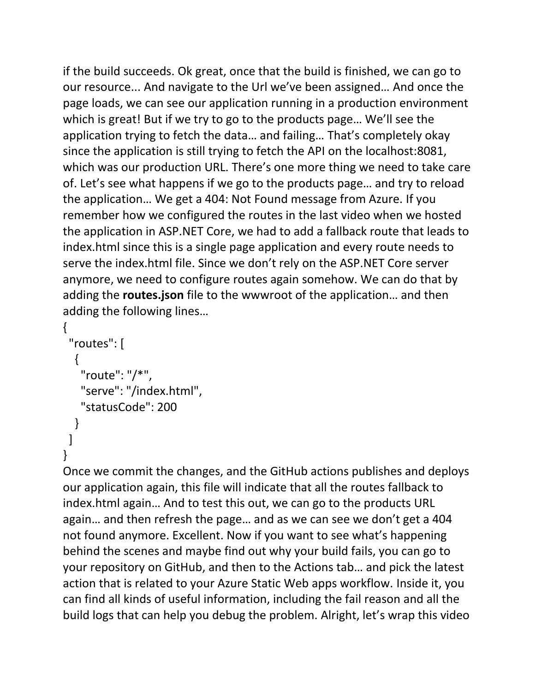if the build succeeds. Ok great, once that the build is finished, we can go to our resource... And navigate to the Url we've been assigned… And once the page loads, we can see our application running in a production environment which is great! But if we try to go to the products page… We'll see the application trying to fetch the data… and failing… That's completely okay since the application is still trying to fetch the API on the localhost:8081, which was our production URL. There's one more thing we need to take care of. Let's see what happens if we go to the products page… and try to reload the application… We get a 404: Not Found message from Azure. If you remember how we configured the routes in the last video when we hosted the application in ASP.NET Core, we had to add a fallback route that leads to index.html since this is a single page application and every route needs to serve the index.html file. Since we don't rely on the ASP.NET Core server anymore, we need to configure routes again somehow. We can do that by adding the **routes.json** file to the wwwroot of the application… and then adding the following lines…

```
{
  "routes": [
  \{ "route": "/*",
    "serve": "/index.html",
    "statusCode": 200
   }
]
}
```
Once we commit the changes, and the GitHub actions publishes and deploys our application again, this file will indicate that all the routes fallback to index.html again… And to test this out, we can go to the products URL again… and then refresh the page… and as we can see we don't get a 404 not found anymore. Excellent. Now if you want to see what's happening behind the scenes and maybe find out why your build fails, you can go to your repository on GitHub, and then to the Actions tab… and pick the latest action that is related to your Azure Static Web apps workflow. Inside it, you can find all kinds of useful information, including the fail reason and all the build logs that can help you debug the problem. Alright, let's wrap this video